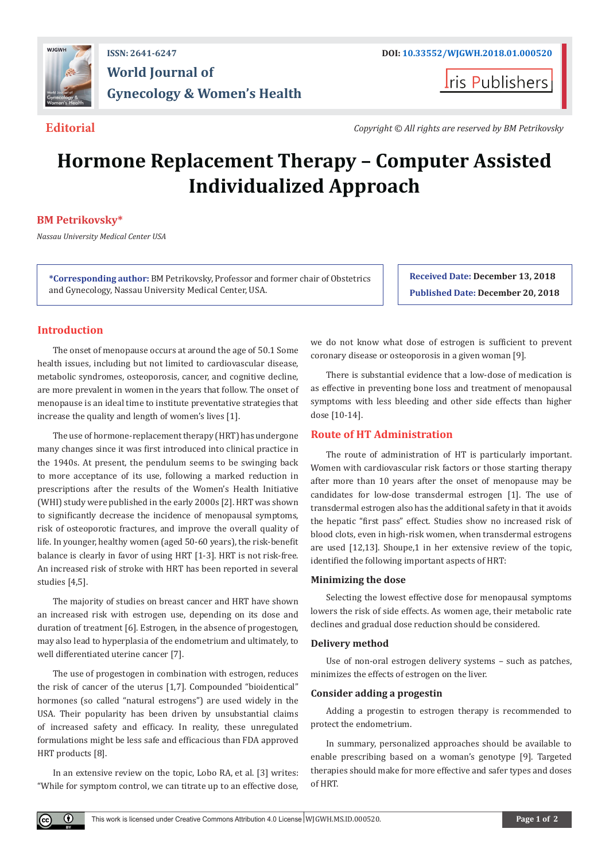

## **ISSN: 2641-6247 DOI: [10.33552/WJGWH.2018.01.000520](http://dx.doi.org/10.33552/WJGWH.2018.01.000520) World Journal of Gynecology & Women's Health**

**I**ris Publishers

**Editorial** *Copyright © All rights are reserved by BM Petrikovsky* 

# **Hormone Replacement Therapy – Computer Assisted Individualized Approach**

### **BM Petrikovsky\***

*Nassau University Medical Center USA*

**\*Corresponding author:** BM Petrikovsky, Professor and former chair of Obstetrics and Gynecology, Nassau University Medical Center, USA.

**Received Date: December 13, 2018 Published Date: December 20, 2018**

#### **Introduction**

 $_{\odot}$ 

The onset of menopause occurs at around the age of 50.1 Some health issues, including but not limited to cardiovascular disease, metabolic syndromes, osteoporosis, cancer, and cognitive decline, are more prevalent in women in the years that follow. The onset of menopause is an ideal time to institute preventative strategies that increase the quality and length of women's lives [1].

The use of hormone-replacement therapy (HRT) has undergone many changes since it was first introduced into clinical practice in the 1940s. At present, the pendulum seems to be swinging back to more acceptance of its use, following a marked reduction in prescriptions after the results of the Women's Health Initiative (WHI) study were published in the early 2000s [2]. HRT was shown to significantly decrease the incidence of menopausal symptoms, risk of osteoporotic fractures, and improve the overall quality of life. In younger, healthy women (aged 50-60 years), the risk-benefit balance is clearly in favor of using HRT [1-3]. HRT is not risk-free. An increased risk of stroke with HRT has been reported in several studies [4,5].

The majority of studies on breast cancer and HRT have shown an increased risk with estrogen use, depending on its dose and duration of treatment [6]. Estrogen, in the absence of progestogen, may also lead to hyperplasia of the endometrium and ultimately, to well differentiated uterine cancer [7].

The use of progestogen in combination with estrogen, reduces the risk of cancer of the uterus [1,7]. Compounded "bioidentical" hormones (so called "natural estrogens") are used widely in the USA. Their popularity has been driven by unsubstantial claims of increased safety and efficacy. In reality, these unregulated formulations might be less safe and efficacious than FDA approved HRT products [8].

In an extensive review on the topic, Lobo RA, et al. [3] writes: "While for symptom control, we can titrate up to an effective dose,

we do not know what dose of estrogen is sufficient to prevent coronary disease or osteoporosis in a given woman [9].

There is substantial evidence that a low-dose of medication is as effective in preventing bone loss and treatment of menopausal symptoms with less bleeding and other side effects than higher dose [10-14].

#### **Route of HT Administration**

The route of administration of HT is particularly important. Women with cardiovascular risk factors or those starting therapy after more than 10 years after the onset of menopause may be candidates for low-dose transdermal estrogen [1]. The use of transdermal estrogen also has the additional safety in that it avoids the hepatic "first pass" effect. Studies show no increased risk of blood clots, even in high-risk women, when transdermal estrogens are used [12,13]. Shoupe,1 in her extensive review of the topic, identified the following important aspects of HRT:

#### **Minimizing the dose**

Selecting the lowest effective dose for menopausal symptoms lowers the risk of side effects. As women age, their metabolic rate declines and gradual dose reduction should be considered.

#### **Delivery method**

Use of non-oral estrogen delivery systems – such as patches, minimizes the effects of estrogen on the liver.

#### **Consider adding a progestin**

Adding a progestin to estrogen therapy is recommended to protect the endometrium.

In summary, personalized approaches should be available to enable prescribing based on a woman's genotype [9]. Targeted therapies should make for more effective and safer types and doses of HRT.